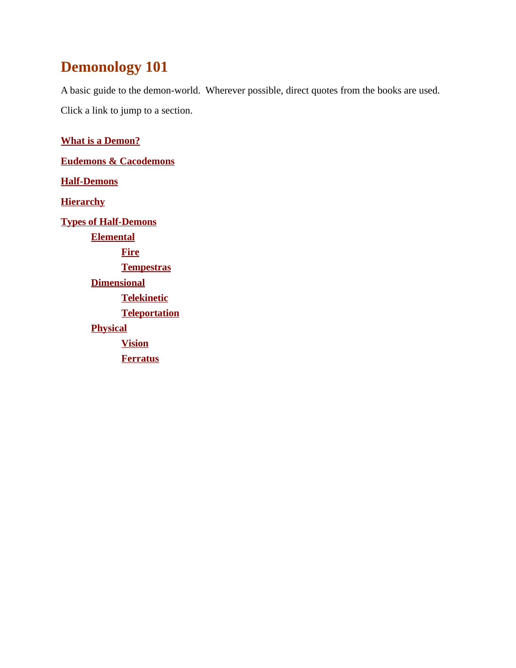# **Demonology 101**

A basic guide to the demon-world. Wherever possible, direct quotes from the books are used. Click a link to jump to a section.

**[What is a Demon?](#page-1-2) [Eudemons & Cacodemons](#page-1-1) [Half-Demons](#page-1-0) [Hierarchy](#page-2-0) [Types of Half-Demons](#page-3-5) [Elemental](#page-3-4) [Fire](#page-3-3) [Tempestras](#page-3-2) [Dimensional](#page-3-1) [Telekinetic](#page-3-0) [Teleportation](#page-4-2) [Physical](#page-4-1) [Vision](#page-4-0) [Ferratus](#page-5-0)**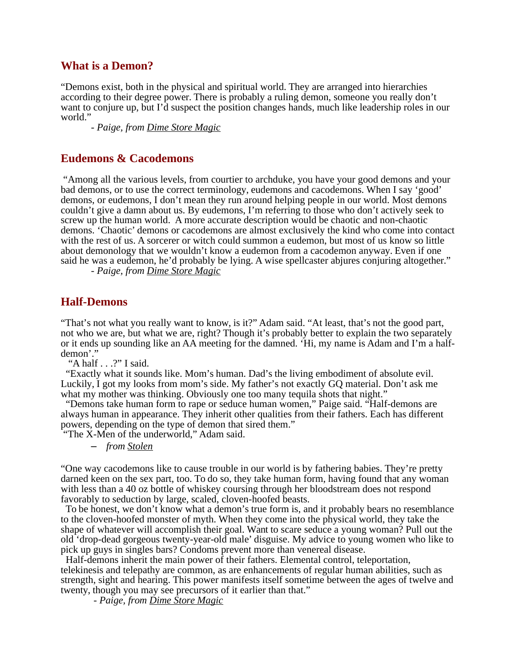## <span id="page-1-2"></span>**What is a Demon?**

"Demons exist, both in the physical and spiritual world. They are arranged into hierarchies according to their degree power. There is probably a ruling demon, someone you really don't want to conjure up, but I'd suspect the position changes hands, much like leadership roles in our world."

*- Paige, from Dime Store Magic*

## <span id="page-1-1"></span>**Eudemons & Cacodemons**

 "Among all the various levels, from courtier to archduke, you have your good demons and your bad demons, or to use the correct terminology, eudemons and cacodemons. When I say 'good' demons, or eudemons, I don't mean they run around helping people in our world. Most demons couldn't give a damn about us. By eudemons, I'm referring to those who don't actively seek to screw up the human world. A more accurate description would be chaotic and non-chaotic demons. 'Chaotic' demons or cacodemons are almost exclusively the kind who come into contact with the rest of us. A sorcerer or witch could summon a eudemon, but most of us know so little about demonology that we wouldn't know a eudemon from a cacodemon anyway. Even if one said he was a eudemon, he'd probably be lying. A wise spellcaster abjures conjuring altogether."

*- Paige, from Dime Store Magic*

#### <span id="page-1-0"></span>**Half-Demons**

"That's not what you really want to know, is it?" Adam said. "At least, that's not the good part, not who we are, but what we are, right? Though it's probably better to explain the two separately or it ends up sounding like an AA meeting for the damned. 'Hi, my name is Adam and I'm a halfdemon'."

"A half  $\ldots$ ?" I said.

 "Exactly what it sounds like. Mom's human. Dad's the living embodiment of absolute evil. Luckily, I got my looks from mom's side. My father's not exactly GQ material. Don't ask me what my mother was thinking. Obviously one too many tequila shots that night."

 "Demons take human form to rape or seduce human women," Paige said. "Half-demons are always human in appearance. They inherit other qualities from their fathers. Each has different powers, depending on the type of demon that sired them."

"The X-Men of the underworld," Adam said.

– *from Stolen*

"One way cacodemons like to cause trouble in our world is by fathering babies. They're pretty darned keen on the sex part, too. To do so, they take human form, having found that any woman with less than a 40 oz bottle of whiskey coursing through her bloodstream does not respond favorably to seduction by large, scaled, cloven-hoofed beasts.

 To be honest, we don't know what a demon's true form is, and it probably bears no resemblance to the cloven-hoofed monster of myth. When they come into the physical world, they take the shape of whatever will accomplish their goal. Want to scare seduce a young woman? Pull out the old 'drop-dead gorgeous twenty-year-old male' disguise. My advice to young women who like to pick up guys in singles bars? Condoms prevent more than venereal disease.

 Half-demons inherit the main power of their fathers. Elemental control, teleportation, telekinesis and telepathy are common, as are enhancements of regular human abilities, such as strength, sight and hearing. This power manifests itself sometime between the ages of twelve and twenty, though you may see precursors of it earlier than that."

 *- Paige, from Dime Store Magic*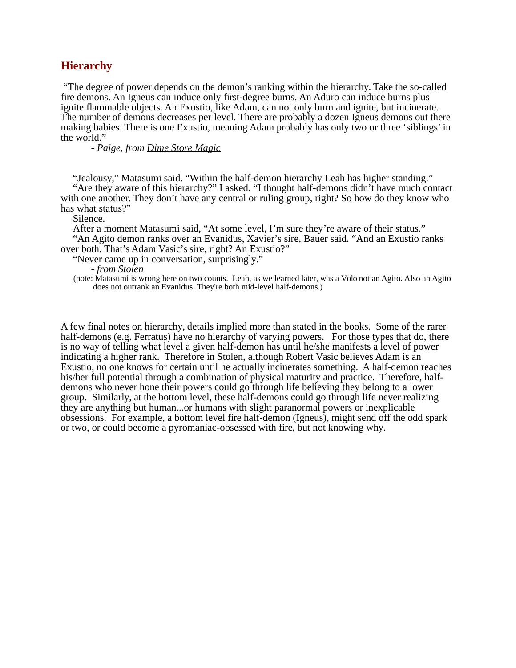## <span id="page-2-0"></span>**Hierarchy**

 "The degree of power depends on the demon's ranking within the hierarchy. Take the so-called fire demons. An Igneus can induce only first-degree burns. An Aduro can induce burns plus ignite flammable objects. An Exustio, like Adam, can not only burn and ignite, but incinerate. The number of demons decreases per level. There are probably a dozen Igneus demons out there making babies. There is one Exustio, meaning Adam probably has only two or three 'siblings' in the world."

*- Paige, from Dime Store Magic*

"Jealousy," Matasumi said. "Within the half-demon hierarchy Leah has higher standing."

"Are they aware of this hierarchy?" I asked. "I thought half-demons didn't have much contact with one another. They don't have any central or ruling group, right? So how do they know who has what status?"

Silence.

After a moment Matasumi said, "At some level, I'm sure they're aware of their status." "An Agito demon ranks over an Evanidus, Xavier's sire, Bauer said. "And an Exustio ranks

over both. That's Adam Vasic's sire, right? An Exustio?"

"Never came up in conversation, surprisingly."

- *from Stolen*

 (note: Matasumi is wrong here on two counts. Leah, as we learned later, was a Volo not an Agito. Also an Agito does not outrank an Evanidus. They're both mid-level half-demons.)

A few final notes on hierarchy, details implied more than stated in the books. Some of the rarer half-demons (e.g. Ferratus) have no hierarchy of varying powers. For those types that do, there is no way of telling what level a given half-demon has until he/she manifests a level of power indicating a higher rank. Therefore in Stolen, although Robert Vasic believes Adam is an Exustio, no one knows for certain until he actually incinerates something. A half-demon reaches his/her full potential through a combination of physical maturity and practice. Therefore, halfdemons who never hone their powers could go through life believing they belong to a lower group. Similarly, at the bottom level, these half-demons could go through life never realizing they are anything but human...or humans with slight paranormal powers or inexplicable obsessions. For example, a bottom level fire half-demon (Igneus), might send off the odd spark or two, or could become a pyromaniac-obsessed with fire, but not knowing why.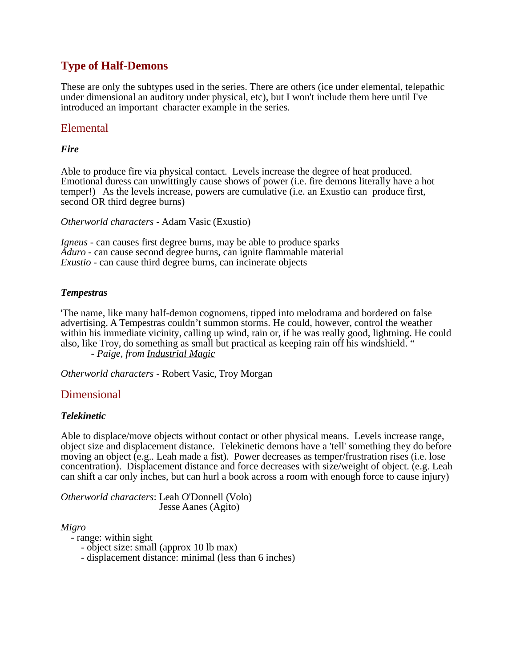# <span id="page-3-5"></span>**Type of Half-Demons**

These are only the subtypes used in the series. There are others (ice under elemental, telepathic under dimensional an auditory under physical, etc), but I won't include them here until I've introduced an important character example in the series.

# <span id="page-3-4"></span>Elemental

#### <span id="page-3-3"></span>*Fire*

Able to produce fire via physical contact. Levels increase the degree of heat produced. Emotional duress can unwittingly cause shows of power (i.e. fire demons literally have a hot temper!) As the levels increase, powers are cumulative (i.e. an Exustio can produce first, second OR third degree burns)

*Otherworld characters* - Adam Vasic (Exustio)

*Igneus* - can causes first degree burns, may be able to produce sparks *Aduro* - can cause second degree burns, can ignite flammable material *Exustio* - can cause third degree burns, can incinerate objects

#### <span id="page-3-2"></span>*Tempestras*

'The name, like many half-demon cognomens, tipped into melodrama and bordered on false advertising. A Tempestras couldn't summon storms. He could, however, control the weather within his immediate vicinity, calling up wind, rain or, if he was really good, lightning. He could also, like Troy, do something as small but practical as keeping rain off his windshield. "

- *Paige, from Industrial Magic*

*Otherworld characters* - Robert Vasic, Troy Morgan

#### <span id="page-3-1"></span>Dimensional

#### <span id="page-3-0"></span>*Telekinetic*

Able to displace/move objects without contact or other physical means. Levels increase range, object size and displacement distance. Telekinetic demons have a 'tell' something they do before moving an object (e.g.. Leah made a fist). Power decreases as temper/frustration rises (i.e. lose concentration). Displacement distance and force decreases with size/weight of object. (e.g. Leah can shift a car only inches, but can hurl a book across a room with enough force to cause injury)

*Otherworld characters*: Leah O'Donnell (Volo) Jesse Aanes (Agito)

*Migro*

- range: within sight

- object size: small (approx 10 lb max)

- displacement distance: minimal (less than 6 inches)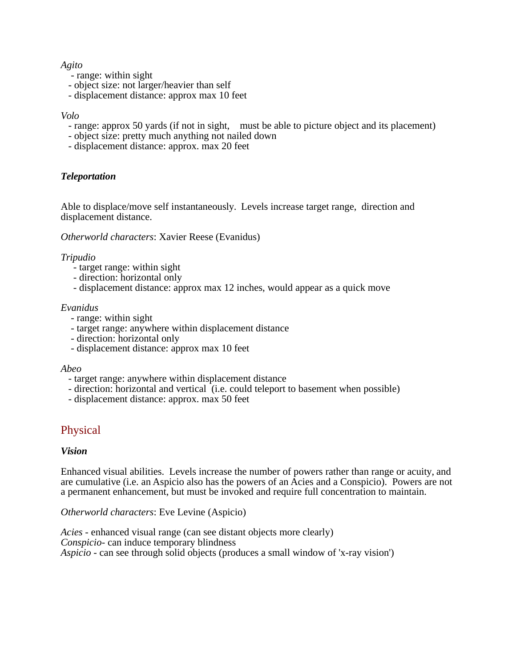#### *Agito*

- range: within sight
- object size: not larger/heavier than self
- displacement distance: approx max 10 feet

#### *Volo*

- range: approx 50 yards (if not in sight, must be able to picture object and its placement)
- object size: pretty much anything not nailed down
- displacement distance: approx. max 20 feet

#### <span id="page-4-2"></span>*Teleportation*

Able to displace/move self instantaneously. Levels increase target range, direction and displacement distance.

*Otherworld characters*: Xavier Reese (Evanidus)

#### *Tripudio*

- target range: within sight
- direction: horizontal only
- displacement distance: approx max 12 inches, would appear as a quick move

#### *Evanidus*

- range: within sight
- target range: anywhere within displacement distance
- direction: horizontal only
- displacement distance: approx max 10 feet

#### *Abeo*

- target range: anywhere within displacement distance
- direction: horizontal and vertical (i.e. could teleport to basement when possible)
- displacement distance: approx. max 50 feet

# <span id="page-4-1"></span>Physical

#### <span id="page-4-0"></span>*Vision*

Enhanced visual abilities. Levels increase the number of powers rather than range or acuity, and are cumulative (i.e. an Aspicio also has the powers of an Acies and a Conspicio). Powers are not a permanent enhancement, but must be invoked and require full concentration to maintain.

*Otherworld characters*: Eve Levine (Aspicio)

*Acies* - enhanced visual range (can see distant objects more clearly) *Conspicio*- can induce temporary blindness *Aspicio* - can see through solid objects (produces a small window of 'x-ray vision')